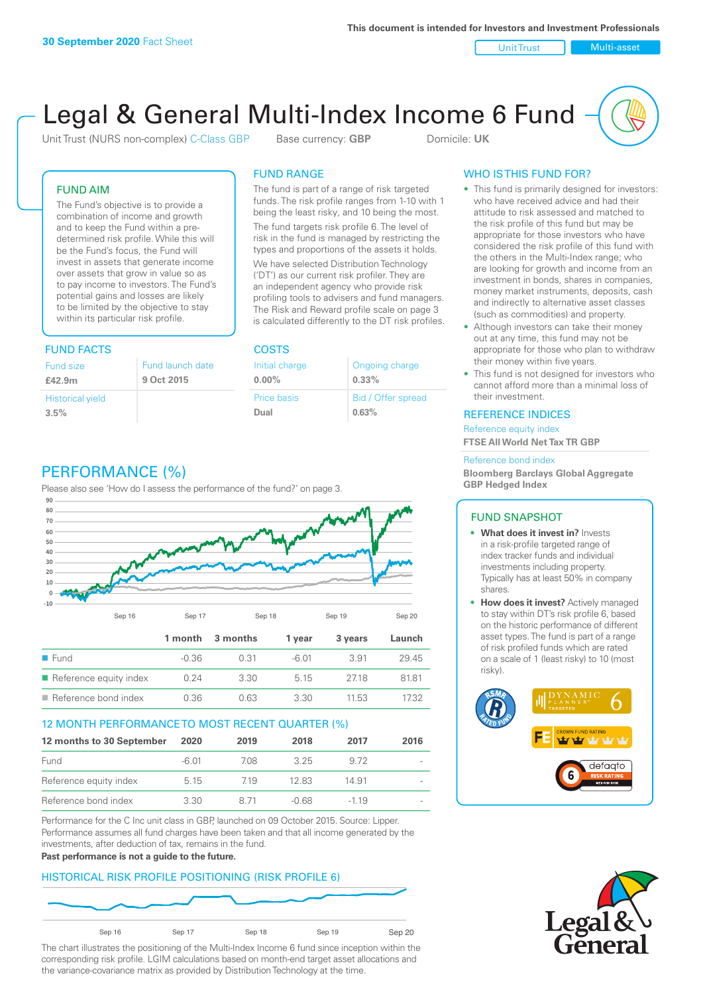Unit Trust Multi-asset

# Legal & General Multi-Index Income 6 Fund

Unit Trust (NURS non-complex) C-Class GBP Base currency: **GBP** Domicile: UK

### FUND AIM

The Fund's objective is to provide a combination of income and growth and to keep the Fund within a predetermined risk profile. While this will be the Fund's focus, the Fund will invest in assets that generate income over assets that grow in value so as to pay income to investors. The Fund's potential gains and losses are likely to be limited by the objective to stay within its particular risk profile.

### FUND FACTS COSTS

| Fund size                       | Fund launch date |
|---------------------------------|------------------|
| £42.9m                          | 9 Oct 2015       |
| <b>Historical yield</b><br>3.5% |                  |

### FUND RANGE

The fund is part of a range of risk targeted funds. The risk profile ranges from 1-10 with 1 being the least risky, and 10 being the most.

The fund targets risk profile 6. The level of risk in the fund is managed by restricting the types and proportions of the assets it holds. We have selected Distribution Technology ('DT') as our current risk profiler. They are an independent agency who provide risk profiling tools to advisers and fund managers. The Risk and Reward profile scale on page 3 is calculated differently to the DT risk profiles.

| Initial charge | Ongoing charge     |
|----------------|--------------------|
| $0.00\%$       | $0.33\%$           |
| Price basis    | Bid / Offer spread |
| Dual           | 0.63%              |

## WHO IS THIS FUND FOR?

- This fund is primarily designed for investors: who have received advice and had their attitude to risk assessed and matched to the risk profile of this fund but may be appropriate for those investors who have considered the risk profile of this fund with the others in the Multi-Index range; who are looking for growth and income from an investment in bonds, shares in companies, money market instruments, deposits, cash and indirectly to alternative asset classes (such as commodities) and property.
- Although investors can take their money out at any time, this fund may not be appropriate for those who plan to withdraw their money within five years.
- This fund is not designed for investors who cannot afford more than a minimal loss of their investment.

### REFERENCE INDICES

Reference equity index **FTSE All World Net Tax TR GBP**

#### Reference bond index

**Bloomberg Barclays Global Aggregate GBP Hedged Index**

### FUND SNAPSHOT

- **• What does it invest in?** Invests in a risk-profile targeted range of index tracker funds and individual investments including property. Typically has at least 50% in company shares.
- **• How does it invest?** Actively managed to stay within DT's risk profile 6, based on the historic performance of different asset types. The fund is part of a range of risk profiled funds which are rated on a scale of 1 (least risky) to 10 (most risky).





### PERFORMANCE (%)

Please also see 'How do I assess the performance of the fund?' on page 3.



### 12 MONTH PERFORMANCE TO MOST RECENT QUARTER (%)

| 12 months to 30 September | 2020  | 2019 | 2018  | 2017   | 2016                     |
|---------------------------|-------|------|-------|--------|--------------------------|
| Fund                      | -6.01 | 708  | 325   | 972    |                          |
| Reference equity index    | 5.15  | 719  | 12.83 | 14.91  | $\qquad \qquad$          |
| Reference bond index      | 3.30  | 8 71 | -0.68 | $-119$ | $\overline{\phantom{a}}$ |

Performance for the C Inc unit class in GBP, launched on 09 October 2015. Source: Lipper. Performance assumes all fund charges have been taken and that all income generated by the investments, after deduction of tax, remains in the fund.

#### **Past performance is not a guide to the future.**

### HISTORICAL RISK PROFILE POSITIONING (RISK PROFILE 6)



The chart illustrates the positioning of the Multi-Index Income 6 fund since inception within the corresponding risk profile. LGIM calculations based on month-end target asset allocations and the variance-covariance matrix as provided by Distribution Technology at the time.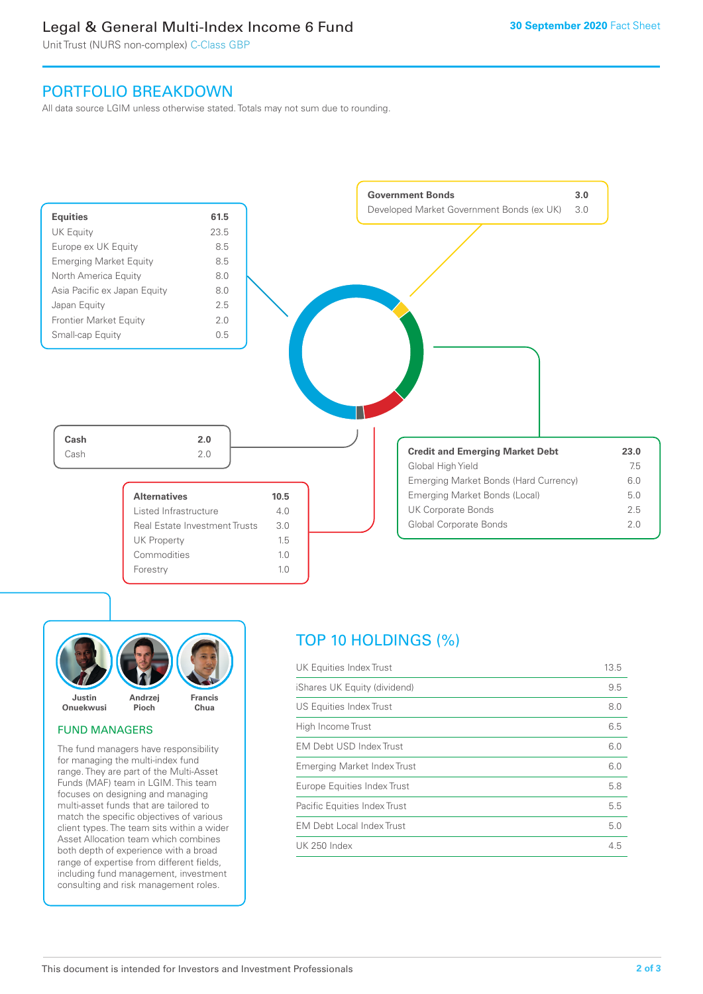### Legal & General Multi-Index Income 6 Fund

Unit Trust (NURS non-complex) C-Class GBP

### PORTFOLIO BREAKDOWN

All data source LGIM unless otherwise stated. Totals may not sum due to rounding.





### FUND MANAGERS

The fund managers have responsibility for managing the multi-index fund range. They are part of the Multi-Asset Funds (MAF) team in LGIM. This team focuses on designing and managing multi-asset funds that are tailored to match the specific objectives of various client types. The team sits within a wider Asset Allocation team which combines both depth of experience with a broad range of expertise from different fields, including fund management, investment consulting and risk management roles.

### TOP 10 HOLDINGS (%)

| UK Equities Index Trust          | 13.5 |
|----------------------------------|------|
| iShares UK Equity (dividend)     | 9.5  |
| US Equities Index Trust          | 8.0  |
| High Income Trust                | 6.5  |
| EM Debt USD Index Trust          | 6.0  |
| Emerging Market Index Trust      | 6.0  |
| Europe Equities Index Trust      | 5.8  |
| Pacific Equities Index Trust     | 5.5  |
| <b>EM Debt Local Index Trust</b> | 5.0  |
| UK 250 Index                     | 4.5  |
|                                  |      |